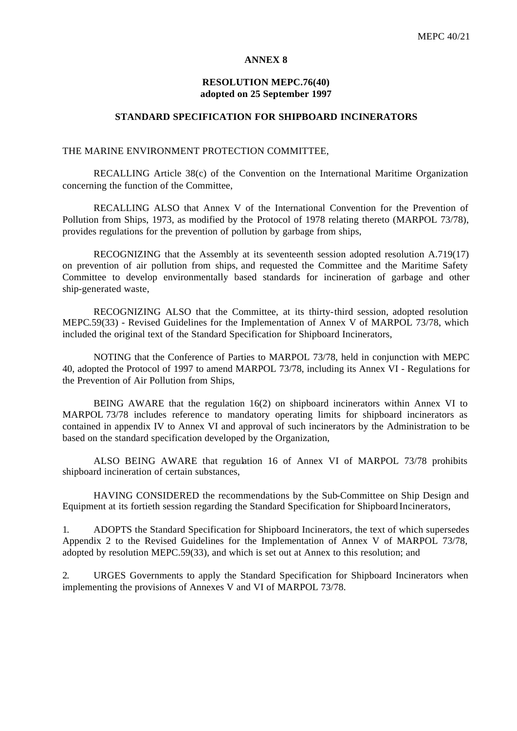#### **ANNEX 8**

### **RESOLUTION MEPC.76(40) adopted on 25 September 1997**

### **STANDARD SPECIFICATION FOR SHIPBOARD INCINERATORS**

#### THE MARINE ENVIRONMENT PROTECTION COMMITTEE,

RECALLING Article 38(c) of the Convention on the International Maritime Organization concerning the function of the Committee,

RECALLING ALSO that Annex V of the International Convention for the Prevention of Pollution from Ships, 1973, as modified by the Protocol of 1978 relating thereto (MARPOL 73/78), provides regulations for the prevention of pollution by garbage from ships,

RECOGNIZING that the Assembly at its seventeenth session adopted resolution A.719(17) on prevention of air pollution from ships, and requested the Committee and the Maritime Safety Committee to develop environmentally based standards for incineration of garbage and other ship-generated waste,

RECOGNIZING ALSO that the Committee, at its thirty-third session, adopted resolution MEPC.59(33) - Revised Guidelines for the Implementation of Annex V of MARPOL 73/78, which included the original text of the Standard Specification for Shipboard Incinerators,

NOTING that the Conference of Parties to MARPOL 73/78, held in conjunction with MEPC 40, adopted the Protocol of 1997 to amend MARPOL 73/78, including its Annex VI - Regulations for the Prevention of Air Pollution from Ships,

BEING AWARE that the regulation 16(2) on shipboard incinerators within Annex VI to MARPOL 73/78 includes reference to mandatory operating limits for shipboard incinerators as contained in appendix IV to Annex VI and approval of such incinerators by the Administration to be based on the standard specification developed by the Organization,

ALSO BEING AWARE that regulation 16 of Annex VI of MARPOL 73/78 prohibits shipboard incineration of certain substances,

HAVING CONSIDERED the recommendations by the Sub-Committee on Ship Design and Equipment at its fortieth session regarding the Standard Specification for Shipboard Incinerators,

1. ADOPTS the Standard Specification for Shipboard Incinerators, the text of which supersedes Appendix 2 to the Revised Guidelines for the Implementation of Annex V of MARPOL 73/78, adopted by resolution MEPC.59(33), and which is set out at Annex to this resolution; and

2. URGES Governments to apply the Standard Specification for Shipboard Incinerators when implementing the provisions of Annexes V and VI of MARPOL 73/78.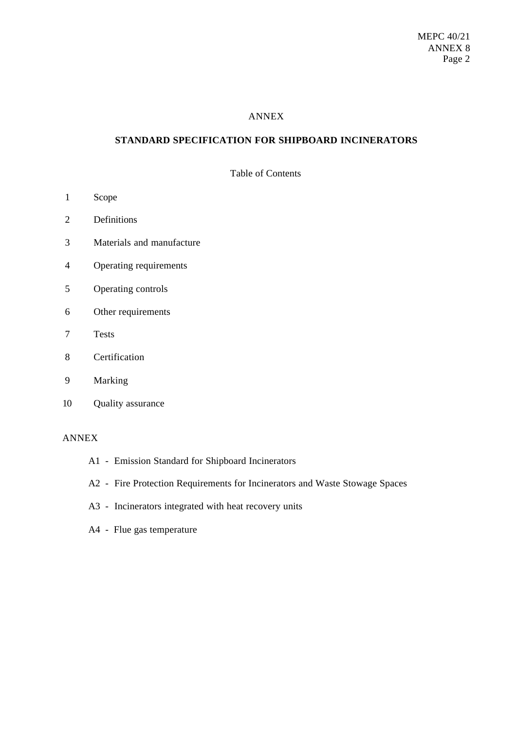### ANNEX

# **STANDARD SPECIFICATION FOR SHIPBOARD INCINERATORS**

Table of Contents

- 1 Scope
- 2 Definitions
- 3 Materials and manufacture
- 4 Operating requirements
- 5 Operating controls
- 6 Other requirements
- 7 Tests
- 8 Certification
- 9 Marking
- 10 Quality assurance

### ANNEX

- A1 Emission Standard for Shipboard Incinerators
- A2 Fire Protection Requirements for Incinerators and Waste Stowage Spaces
- A3 Incinerators integrated with heat recovery units
- A4 Flue gas temperature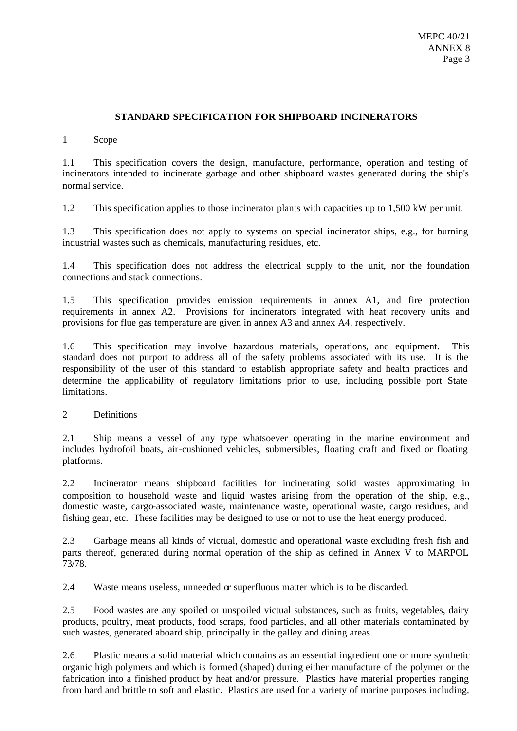# **STANDARD SPECIFICATION FOR SHIPBOARD INCINERATORS**

## 1 Scope

1.1 This specification covers the design, manufacture, performance, operation and testing of incinerators intended to incinerate garbage and other shipboard wastes generated during the ship's normal service.

1.2 This specification applies to those incinerator plants with capacities up to 1,500 kW per unit.

1.3 This specification does not apply to systems on special incinerator ships, e.g., for burning industrial wastes such as chemicals, manufacturing residues, etc.

1.4 This specification does not address the electrical supply to the unit, nor the foundation connections and stack connections.

1.5 This specification provides emission requirements in annex A1, and fire protection requirements in annex A2. Provisions for incinerators integrated with heat recovery units and provisions for flue gas temperature are given in annex A3 and annex A4, respectively.

1.6 This specification may involve hazardous materials, operations, and equipment. This standard does not purport to address all of the safety problems associated with its use. It is the responsibility of the user of this standard to establish appropriate safety and health practices and determine the applicability of regulatory limitations prior to use, including possible port State limitations.

2 Definitions

2.1 Ship means a vessel of any type whatsoever operating in the marine environment and includes hydrofoil boats, air-cushioned vehicles, submersibles, floating craft and fixed or floating platforms.

2.2 Incinerator means shipboard facilities for incinerating solid wastes approximating in composition to household waste and liquid wastes arising from the operation of the ship, e.g., domestic waste, cargo-associated waste, maintenance waste, operational waste, cargo residues, and fishing gear, etc. These facilities may be designed to use or not to use the heat energy produced.

2.3 Garbage means all kinds of victual, domestic and operational waste excluding fresh fish and parts thereof, generated during normal operation of the ship as defined in Annex V to MARPOL 73/78.

2.4 Waste means useless, unneeded or superfluous matter which is to be discarded.

2.5 Food wastes are any spoiled or unspoiled victual substances, such as fruits, vegetables, dairy products, poultry, meat products, food scraps, food particles, and all other materials contaminated by such wastes, generated aboard ship, principally in the galley and dining areas.

2.6 Plastic means a solid material which contains as an essential ingredient one or more synthetic organic high polymers and which is formed (shaped) during either manufacture of the polymer or the fabrication into a finished product by heat and/or pressure. Plastics have material properties ranging from hard and brittle to soft and elastic. Plastics are used for a variety of marine purposes including,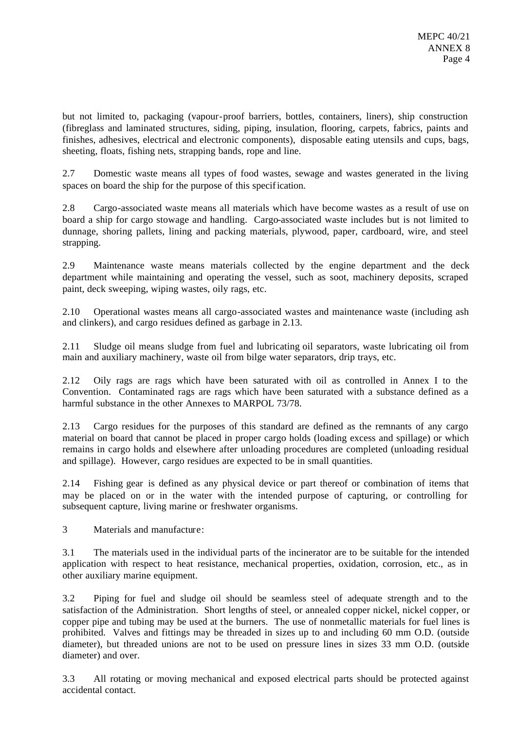but not limited to, packaging (vapour-proof barriers, bottles, containers, liners), ship construction (fibreglass and laminated structures, siding, piping, insulation, flooring, carpets, fabrics, paints and finishes, adhesives, electrical and electronic components), disposable eating utensils and cups, bags, sheeting, floats, fishing nets, strapping bands, rope and line.

2.7 Domestic waste means all types of food wastes, sewage and wastes generated in the living spaces on board the ship for the purpose of this specification.

2.8 Cargo-associated waste means all materials which have become wastes as a result of use on board a ship for cargo stowage and handling. Cargo-associated waste includes but is not limited to dunnage, shoring pallets, lining and packing materials, plywood, paper, cardboard, wire, and steel strapping.

2.9 Maintenance waste means materials collected by the engine department and the deck department while maintaining and operating the vessel, such as soot, machinery deposits, scraped paint, deck sweeping, wiping wastes, oily rags, etc.

2.10 Operational wastes means all cargo-associated wastes and maintenance waste (including ash and clinkers), and cargo residues defined as garbage in 2.13.

2.11 Sludge oil means sludge from fuel and lubricating oil separators, waste lubricating oil from main and auxiliary machinery, waste oil from bilge water separators, drip trays, etc.

2.12 Oily rags are rags which have been saturated with oil as controlled in Annex I to the Convention. Contaminated rags are rags which have been saturated with a substance defined as a harmful substance in the other Annexes to MARPOL 73/78.

2.13 Cargo residues for the purposes of this standard are defined as the remnants of any cargo material on board that cannot be placed in proper cargo holds (loading excess and spillage) or which remains in cargo holds and elsewhere after unloading procedures are completed (unloading residual and spillage). However, cargo residues are expected to be in small quantities.

2.14 Fishing gear is defined as any physical device or part thereof or combination of items that may be placed on or in the water with the intended purpose of capturing, or controlling for subsequent capture, living marine or freshwater organisms.

3 Materials and manufacture:

3.1 The materials used in the individual parts of the incinerator are to be suitable for the intended application with respect to heat resistance, mechanical properties, oxidation, corrosion, etc., as in other auxiliary marine equipment.

3.2 Piping for fuel and sludge oil should be seamless steel of adequate strength and to the satisfaction of the Administration. Short lengths of steel, or annealed copper nickel, nickel copper, or copper pipe and tubing may be used at the burners. The use of nonmetallic materials for fuel lines is prohibited. Valves and fittings may be threaded in sizes up to and including 60 mm O.D. (outside diameter), but threaded unions are not to be used on pressure lines in sizes 33 mm O.D. (outside diameter) and over.

3.3 All rotating or moving mechanical and exposed electrical parts should be protected against accidental contact.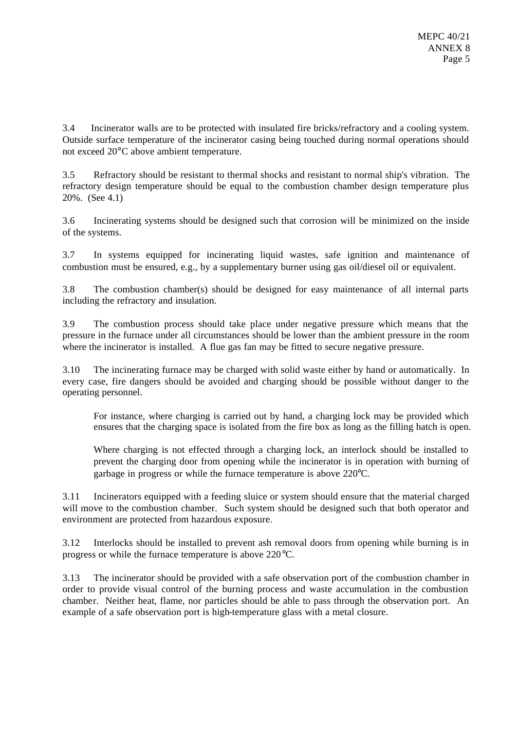3.4 Incinerator walls are to be protected with insulated fire bricks/refractory and a cooling system. Outside surface temperature of the incinerator casing being touched during normal operations should not exceed 20°C above ambient temperature.

3.5 Refractory should be resistant to thermal shocks and resistant to normal ship's vibration. The refractory design temperature should be equal to the combustion chamber design temperature plus 20%. (See 4.1)

3.6 Incinerating systems should be designed such that corrosion will be minimized on the inside of the systems.

3.7 In systems equipped for incinerating liquid wastes, safe ignition and maintenance of combustion must be ensured, e.g., by a supplementary burner using gas oil/diesel oil or equivalent.

3.8 The combustion chamber(s) should be designed for easy maintenance of all internal parts including the refractory and insulation.

3.9 The combustion process should take place under negative pressure which means that the pressure in the furnace under all circumstances should be lower than the ambient pressure in the room where the incinerator is installed. A flue gas fan may be fitted to secure negative pressure.

3.10 The incinerating furnace may be charged with solid waste either by hand or automatically. In every case, fire dangers should be avoided and charging should be possible without danger to the operating personnel.

For instance, where charging is carried out by hand, a charging lock may be provided which ensures that the charging space is isolated from the fire box as long as the filling hatch is open.

Where charging is not effected through a charging lock, an interlock should be installed to prevent the charging door from opening while the incinerator is in operation with burning of garbage in progress or while the furnace temperature is above 220°C.

3.11 Incinerators equipped with a feeding sluice or system should ensure that the material charged will move to the combustion chamber. Such system should be designed such that both operator and environment are protected from hazardous exposure.

3.12 Interlocks should be installed to prevent ash removal doors from opening while burning is in progress or while the furnace temperature is above 220°C.

3.13 The incinerator should be provided with a safe observation port of the combustion chamber in order to provide visual control of the burning process and waste accumulation in the combustion chamber. Neither heat, flame, nor particles should be able to pass through the observation port. An example of a safe observation port is high-temperature glass with a metal closure.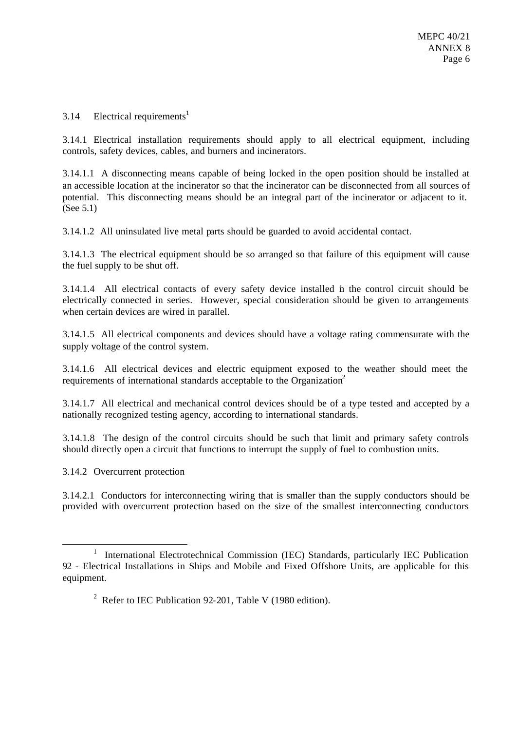## 3.14 Electrical requirements<sup>1</sup>

3.14.1 Electrical installation requirements should apply to all electrical equipment, including controls, safety devices, cables, and burners and incinerators.

3.14.1.1 A disconnecting means capable of being locked in the open position should be installed at an accessible location at the incinerator so that the incinerator can be disconnected from all sources of potential. This disconnecting means should be an integral part of the incinerator or adjacent to it. (See 5.1)

3.14.1.2 All uninsulated live metal parts should be guarded to avoid accidental contact.

3.14.1.3 The electrical equipment should be so arranged so that failure of this equipment will cause the fuel supply to be shut off.

3.14.1.4 All electrical contacts of every safety device installed in the control circuit should be electrically connected in series. However, special consideration should be given to arrangements when certain devices are wired in parallel.

3.14.1.5 All electrical components and devices should have a voltage rating commensurate with the supply voltage of the control system.

3.14.1.6 All electrical devices and electric equipment exposed to the weather should meet the requirements of international standards acceptable to the Organization<sup>2</sup>

3.14.1.7 All electrical and mechanical control devices should be of a type tested and accepted by a nationally recognized testing agency, according to international standards.

3.14.1.8 The design of the control circuits should be such that limit and primary safety controls should directly open a circuit that functions to interrupt the supply of fuel to combustion units.

3.14.2 Overcurrent protection

l

3.14.2.1 Conductors for interconnecting wiring that is smaller than the supply conductors should be provided with overcurrent protection based on the size of the smallest interconnecting conductors

<sup>&</sup>lt;sup>1</sup> International Electrotechnical Commission (IEC) Standards, particularly IEC Publication 92 - Electrical Installations in Ships and Mobile and Fixed Offshore Units, are applicable for this equipment.

<sup>&</sup>lt;sup>2</sup> Refer to IEC Publication 92-201, Table V (1980 edition).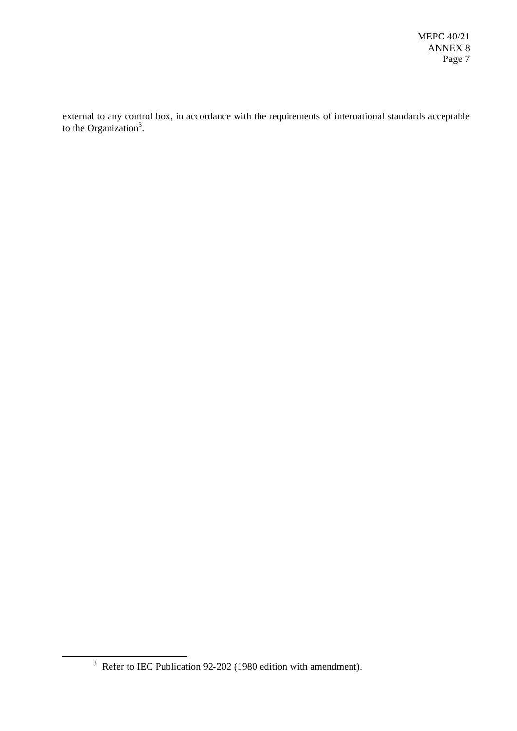external to any control box, in accordance with the requirements of international standards acceptable to the Organization<sup>3</sup>.

l

 $3$  Refer to IEC Publication 92-202 (1980 edition with amendment).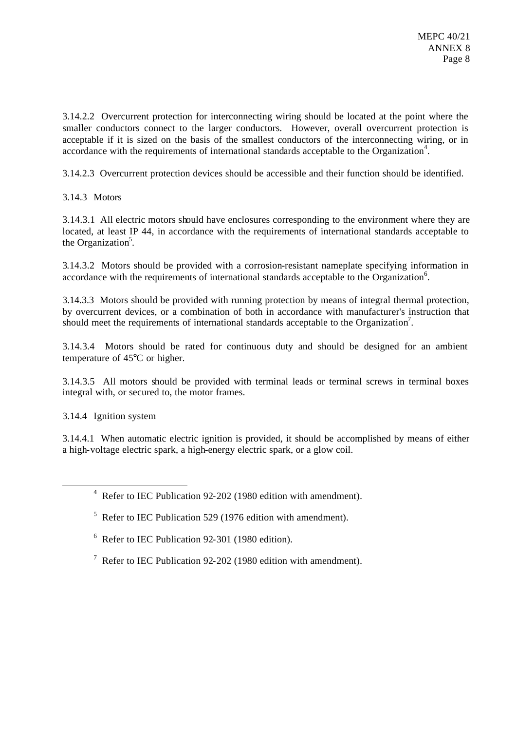3.14.2.2 Overcurrent protection for interconnecting wiring should be located at the point where the smaller conductors connect to the larger conductors. However, overall overcurrent protection is acceptable if it is sized on the basis of the smallest conductors of the interconnecting wiring, or in accordance with the requirements of international standards acceptable to the Organization<sup>4</sup>.

3.14.2.3 Overcurrent protection devices should be accessible and their function should be identified.

3.14.3 Motors

3.14.3.1 All electric motors should have enclosures corresponding to the environment where they are located, at least IP 44, in accordance with the requirements of international standards acceptable to the Organization<sup>5</sup>.

3.14.3.2 Motors should be provided with a corrosion-resistant nameplate specifying information in accordance with the requirements of international standards acceptable to the Organization<sup>6</sup>.

3.14.3.3 Motors should be provided with running protection by means of integral thermal protection, by overcurrent devices, or a combination of both in accordance with manufacturer's instruction that should meet the requirements of international standards acceptable to the Organization<sup>7</sup>.

3.14.3.4 Motors should be rated for continuous duty and should be designed for an ambient temperature of 45°C or higher.

3.14.3.5 All motors should be provided with terminal leads or terminal screws in terminal boxes integral with, or secured to, the motor frames.

3.14.4 Ignition system

l

3.14.4.1 When automatic electric ignition is provided, it should be accomplished by means of either a high-voltage electric spark, a high-energy electric spark, or a glow coil.

<sup>4</sup> Refer to IEC Publication 92-202 (1980 edition with amendment).

 $5$  Refer to IEC Publication 529 (1976 edition with amendment).

<sup>6</sup> Refer to IEC Publication 92-301 (1980 edition).

<sup>7</sup> Refer to IEC Publication 92-202 (1980 edition with amendment).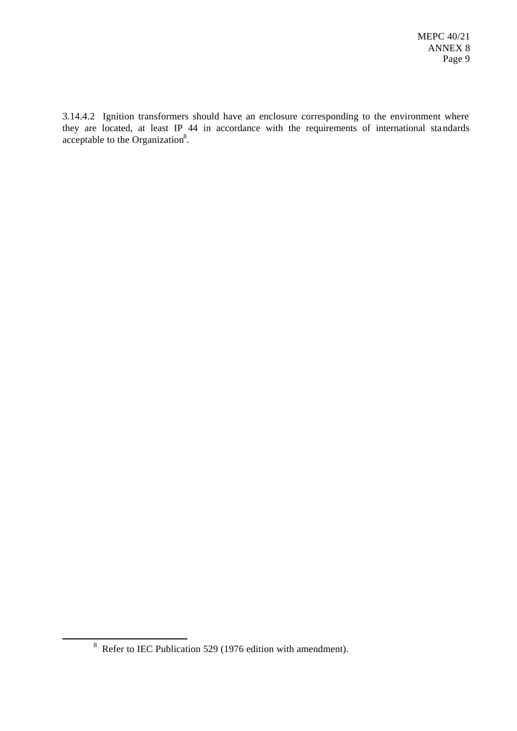3.14.4.2 Ignition transformers should have an enclosure corresponding to the environment where they are located, at least IP 44 in accordance with the requirements of international sta ndards acceptable to the Organization $8$ .

l

 $8\text{ Refer to IEC Publication 529 (1976 edition with amendment).}$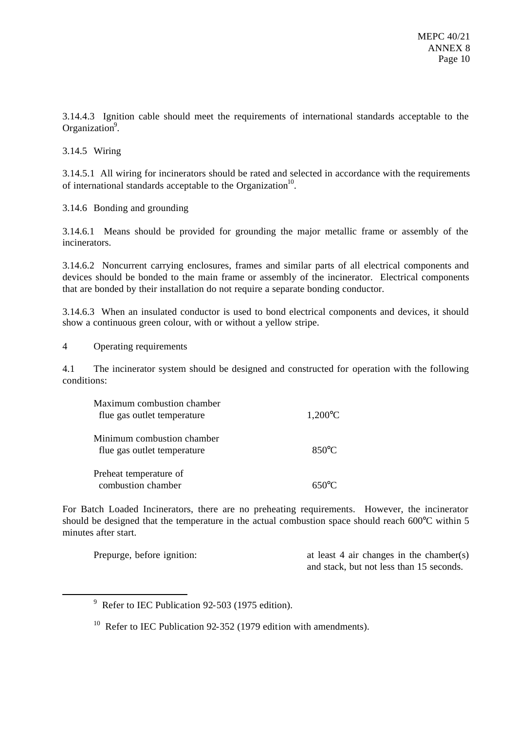3.14.4.3 Ignition cable should meet the requirements of international standards acceptable to the Organization<sup>9</sup>.

3.14.5 Wiring

3.14.5.1 All wiring for incinerators should be rated and selected in accordance with the requirements of international standards acceptable to the Organization<sup>10</sup>.

3.14.6 Bonding and grounding

3.14.6.1 Means should be provided for grounding the major metallic frame or assembly of the incinerators.

3.14.6.2 Noncurrent carrying enclosures, frames and similar parts of all electrical components and devices should be bonded to the main frame or assembly of the incinerator. Electrical components that are bonded by their installation do not require a separate bonding conductor.

3.14.6.3 When an insulated conductor is used to bond electrical components and devices, it should show a continuous green colour, with or without a yellow stripe.

4 Operating requirements

l

4.1 The incinerator system should be designed and constructed for operation with the following conditions:

| Maximum combustion chamber<br>flue gas outlet temperature | $1,200^{\circ}$ C |
|-----------------------------------------------------------|-------------------|
| Minimum combustion chamber<br>flue gas outlet temperature | $850^{\circ}$ C   |
| Preheat temperature of<br>combustion chamber              | $650^{\circ}$ C   |

For Batch Loaded Incinerators, there are no preheating requirements. However, the incinerator should be designed that the temperature in the actual combustion space should reach 600°C within 5 minutes after start.

Prepurge, before ignition: at least 4 air changes in the chamber(s) and stack, but not less than 15 seconds.

 $9^9$  Refer to IEC Publication 92-503 (1975 edition).

 $10$  Refer to IEC Publication 92-352 (1979 edition with amendments).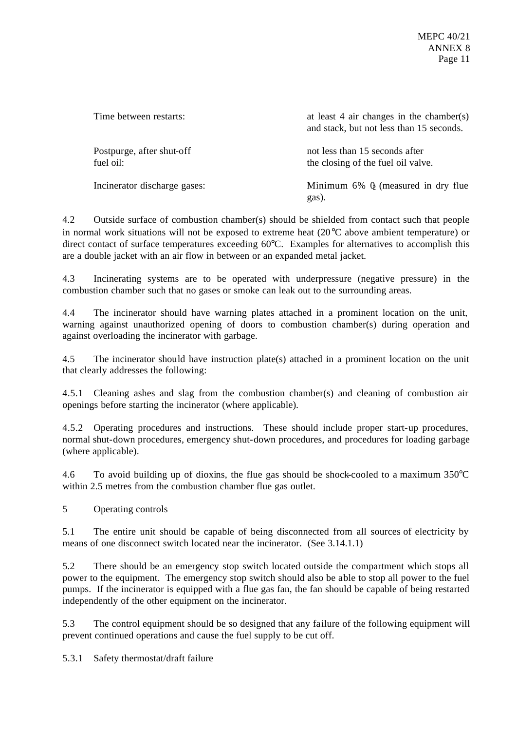| Time between restarts:                 | at least 4 air changes in the chamber(s)<br>and stack, but not less than 15 seconds. |
|----------------------------------------|--------------------------------------------------------------------------------------|
| Postpurge, after shut-off<br>fuel oil: | not less than 15 seconds after<br>the closing of the fuel oil valve.                 |
| Incinerator discharge gases:           | Minimum $6\%$ Q (measured in dry flue<br>gas).                                       |

4.2 Outside surface of combustion chamber(s) should be shielded from contact such that people in normal work situations will not be exposed to extreme heat (20°C above ambient temperature) or direct contact of surface temperatures exceeding 60°C. Examples for alternatives to accomplish this are a double jacket with an air flow in between or an expanded metal jacket.

4.3 Incinerating systems are to be operated with underpressure (negative pressure) in the combustion chamber such that no gases or smoke can leak out to the surrounding areas.

4.4 The incinerator should have warning plates attached in a prominent location on the unit, warning against unauthorized opening of doors to combustion chamber(s) during operation and against overloading the incinerator with garbage.

4.5 The incinerator should have instruction plate(s) attached in a prominent location on the unit that clearly addresses the following:

4.5.1 Cleaning ashes and slag from the combustion chamber(s) and cleaning of combustion air openings before starting the incinerator (where applicable).

4.5.2 Operating procedures and instructions. These should include proper start-up procedures, normal shut-down procedures, emergency shut-down procedures, and procedures for loading garbage (where applicable).

4.6 To avoid building up of dioxins, the flue gas should be shock-cooled to a maximum  $350^{\circ}$ C within 2.5 metres from the combustion chamber flue gas outlet.

5 Operating controls

5.1 The entire unit should be capable of being disconnected from all sources of electricity by means of one disconnect switch located near the incinerator. (See 3.14.1.1)

5.2 There should be an emergency stop switch located outside the compartment which stops all power to the equipment. The emergency stop switch should also be able to stop all power to the fuel pumps. If the incinerator is equipped with a flue gas fan, the fan should be capable of being restarted independently of the other equipment on the incinerator.

5.3 The control equipment should be so designed that any failure of the following equipment will prevent continued operations and cause the fuel supply to be cut off.

5.3.1 Safety thermostat/draft failure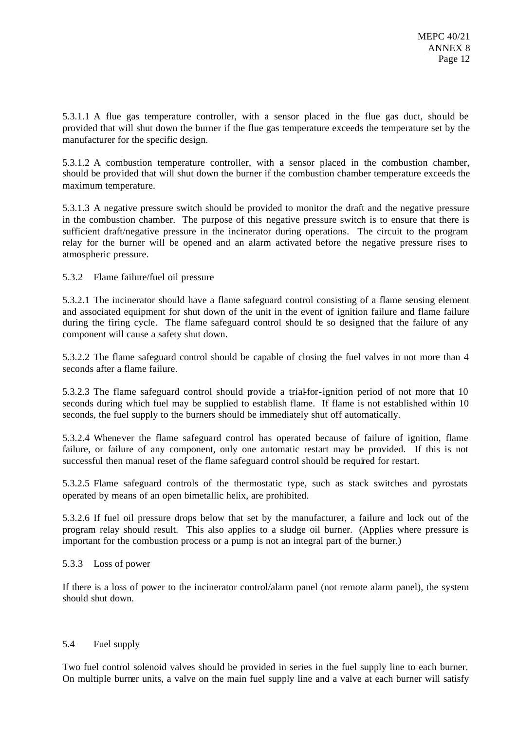5.3.1.1 A flue gas temperature controller, with a sensor placed in the flue gas duct, should be provided that will shut down the burner if the flue gas temperature exceeds the temperature set by the manufacturer for the specific design.

5.3.1.2 A combustion temperature controller, with a sensor placed in the combustion chamber, should be provided that will shut down the burner if the combustion chamber temperature exceeds the maximum temperature.

5.3.1.3 A negative pressure switch should be provided to monitor the draft and the negative pressure in the combustion chamber. The purpose of this negative pressure switch is to ensure that there is sufficient draft/negative pressure in the incinerator during operations. The circuit to the program relay for the burner will be opened and an alarm activated before the negative pressure rises to atmospheric pressure.

5.3.2 Flame failure/fuel oil pressure

5.3.2.1 The incinerator should have a flame safeguard control consisting of a flame sensing element and associated equipment for shut down of the unit in the event of ignition failure and flame failure during the firing cycle. The flame safeguard control should be so designed that the failure of any component will cause a safety shut down.

5.3.2.2 The flame safeguard control should be capable of closing the fuel valves in not more than 4 seconds after a flame failure.

5.3.2.3 The flame safeguard control should provide a trial-for-ignition period of not more that 10 seconds during which fuel may be supplied to establish flame. If flame is not established within 10 seconds, the fuel supply to the burners should be immediately shut off automatically.

5.3.2.4 Whenever the flame safeguard control has operated because of failure of ignition, flame failure, or failure of any component, only one automatic restart may be provided. If this is not successful then manual reset of the flame safeguard control should be required for restart.

5.3.2.5 Flame safeguard controls of the thermostatic type, such as stack switches and pyrostats operated by means of an open bimetallic helix, are prohibited.

5.3.2.6 If fuel oil pressure drops below that set by the manufacturer, a failure and lock out of the program relay should result. This also applies to a sludge oil burner. (Applies where pressure is important for the combustion process or a pump is not an integral part of the burner.)

### 5.3.3 Loss of power

If there is a loss of power to the incinerator control/alarm panel (not remote alarm panel), the system should shut down.

### 5.4 Fuel supply

Two fuel control solenoid valves should be provided in series in the fuel supply line to each burner. On multiple burner units, a valve on the main fuel supply line and a valve at each burner will satisfy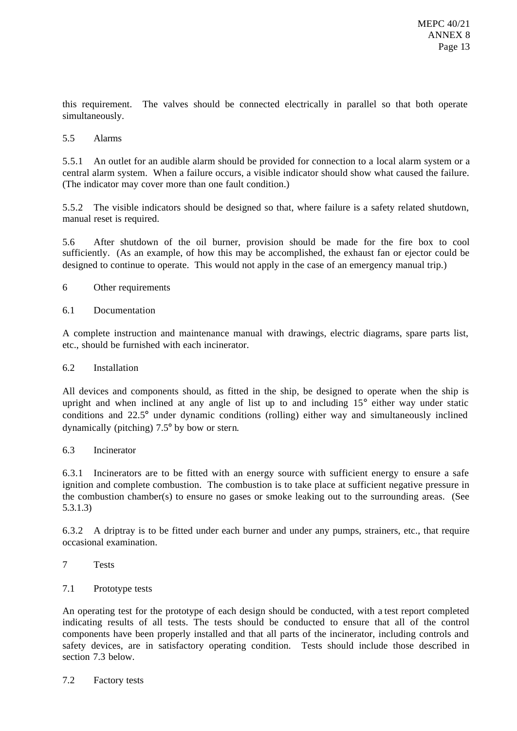this requirement. The valves should be connected electrically in parallel so that both operate simultaneously.

### 5.5 Alarms

5.5.1 An outlet for an audible alarm should be provided for connection to a local alarm system or a central alarm system. When a failure occurs, a visible indicator should show what caused the failure. (The indicator may cover more than one fault condition.)

5.5.2 The visible indicators should be designed so that, where failure is a safety related shutdown, manual reset is required.

5.6 After shutdown of the oil burner, provision should be made for the fire box to cool sufficiently. (As an example, of how this may be accomplished, the exhaust fan or ejector could be designed to continue to operate. This would not apply in the case of an emergency manual trip.)

6 Other requirements

### 6.1 Documentation

A complete instruction and maintenance manual with drawings, electric diagrams, spare parts list, etc., should be furnished with each incinerator.

### 6.2 Installation

All devices and components should, as fitted in the ship, be designed to operate when the ship is upright and when inclined at any angle of list up to and including 15° either way under static conditions and 22.5° under dynamic conditions (rolling) either way and simultaneously inclined dynamically (pitching) 7.5° by bow or stern.

### 6.3 Incinerator

6.3.1 Incinerators are to be fitted with an energy source with sufficient energy to ensure a safe ignition and complete combustion. The combustion is to take place at sufficient negative pressure in the combustion chamber(s) to ensure no gases or smoke leaking out to the surrounding areas. (See 5.3.1.3)

6.3.2 A driptray is to be fitted under each burner and under any pumps, strainers, etc., that require occasional examination.

- 7 Tests
- 7.1 Prototype tests

An operating test for the prototype of each design should be conducted, with a test report completed indicating results of all tests. The tests should be conducted to ensure that all of the control components have been properly installed and that all parts of the incinerator, including controls and safety devices, are in satisfactory operating condition. Tests should include those described in section 7.3 below.

7.2 Factory tests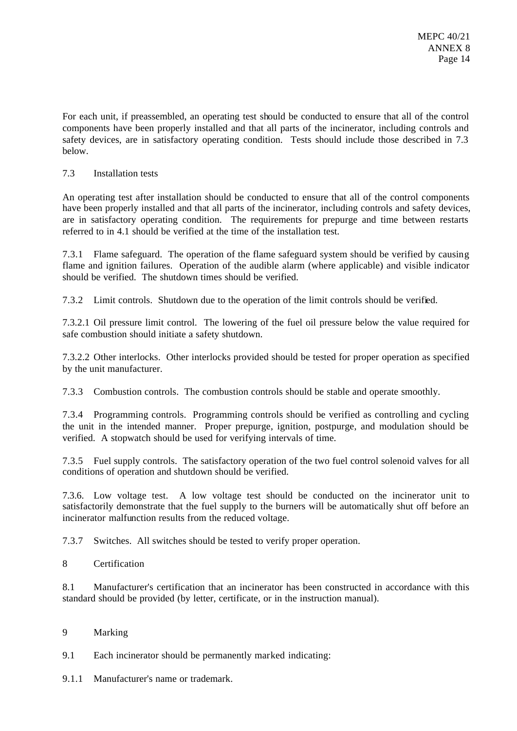For each unit, if preassembled, an operating test should be conducted to ensure that all of the control components have been properly installed and that all parts of the incinerator, including controls and safety devices, are in satisfactory operating condition. Tests should include those described in 7.3 below.

# 7.3 Installation tests

An operating test after installation should be conducted to ensure that all of the control components have been properly installed and that all parts of the incinerator, including controls and safety devices, are in satisfactory operating condition. The requirements for prepurge and time between restarts referred to in 4.1 should be verified at the time of the installation test.

7.3.1 Flame safeguard. The operation of the flame safeguard system should be verified by causing flame and ignition failures. Operation of the audible alarm (where applicable) and visible indicator should be verified. The shutdown times should be verified.

7.3.2 Limit controls. Shutdown due to the operation of the limit controls should be verified.

7.3.2.1 Oil pressure limit control. The lowering of the fuel oil pressure below the value required for safe combustion should initiate a safety shutdown.

7.3.2.2 Other interlocks. Other interlocks provided should be tested for proper operation as specified by the unit manufacturer.

7.3.3 Combustion controls. The combustion controls should be stable and operate smoothly.

7.3.4 Programming controls. Programming controls should be verified as controlling and cycling the unit in the intended manner. Proper prepurge, ignition, postpurge, and modulation should be verified. A stopwatch should be used for verifying intervals of time.

7.3.5 Fuel supply controls. The satisfactory operation of the two fuel control solenoid valves for all conditions of operation and shutdown should be verified.

7.3.6. Low voltage test. A low voltage test should be conducted on the incinerator unit to satisfactorily demonstrate that the fuel supply to the burners will be automatically shut off before an incinerator malfunction results from the reduced voltage.

7.3.7 Switches. All switches should be tested to verify proper operation.

8 Certification

8.1 Manufacturer's certification that an incinerator has been constructed in accordance with this standard should be provided (by letter, certificate, or in the instruction manual).

9 Marking

9.1 Each incinerator should be permanently marked indicating:

9.1.1 Manufacturer's name or trademark.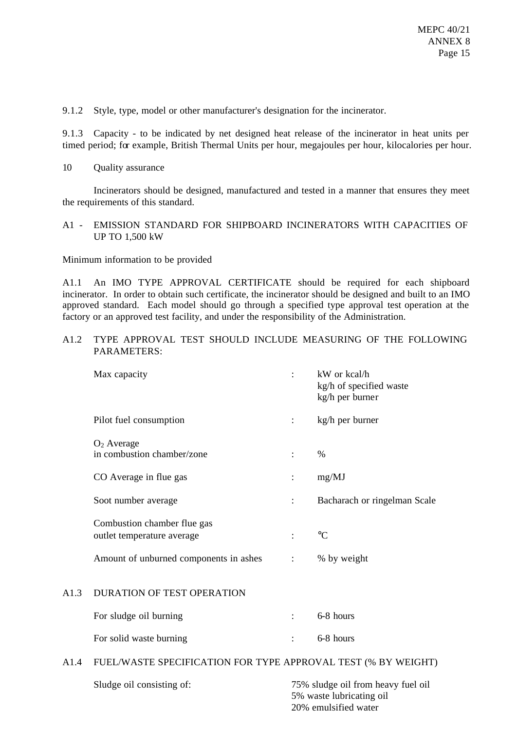9.1.2 Style, type, model or other manufacturer's designation for the incinerator.

9.1.3 Capacity - to be indicated by net designed heat release of the incinerator in heat units per timed period; for example, British Thermal Units per hour, megajoules per hour, kilocalories per hour.

10 Quality assurance

Incinerators should be designed, manufactured and tested in a manner that ensures they meet the requirements of this standard.

### A1 - EMISSION STANDARD FOR SHIPBOARD INCINERATORS WITH CAPACITIES OF UP TO 1,500 kW

Minimum information to be provided

A1.1 An IMO TYPE APPROVAL CERTIFICATE should be required for each shipboard incinerator. In order to obtain such certificate, the incinerator should be designed and built to an IMO approved standard. Each model should go through a specified type approval test operation at the factory or an approved test facility, and under the responsibility of the Administration.

## A1.2 TYPE APPROVAL TEST SHOULD INCLUDE MEASURING OF THE FOLLOWING PARAMETERS:

| Max capacity                                              | $\ddot{\phantom{a}}$ | kW or kcal/h<br>kg/h of specified waste<br>kg/h per burner |
|-----------------------------------------------------------|----------------------|------------------------------------------------------------|
| Pilot fuel consumption                                    | $\ddot{\cdot}$       | kg/h per burner                                            |
| $O2$ Average<br>in combustion chamber/zone                | $\ddot{\cdot}$       | $\%$                                                       |
| CO Average in flue gas                                    | $\ddot{\cdot}$       | mg/MJ                                                      |
| Soot number average                                       | $\ddot{\cdot}$       | Bacharach or ringelman Scale                               |
| Combustion chamber flue gas<br>outlet temperature average | $\ddot{\cdot}$       | $\rm ^{\circ}C$                                            |
| Amount of unburned components in ashes                    |                      | % by weight                                                |

### A1.3 DURATION OF TEST OPERATION

| For sludge oil burning  | 6-8 hours |
|-------------------------|-----------|
| For solid waste burning | 6-8 hours |

### A1.4 FUEL/WASTE SPECIFICATION FOR TYPE APPROVAL TEST (% BY WEIGHT)

Sludge oil consisting of: 75% sludge oil from heavy fuel oil 5% waste lubricating oil 20% emulsified water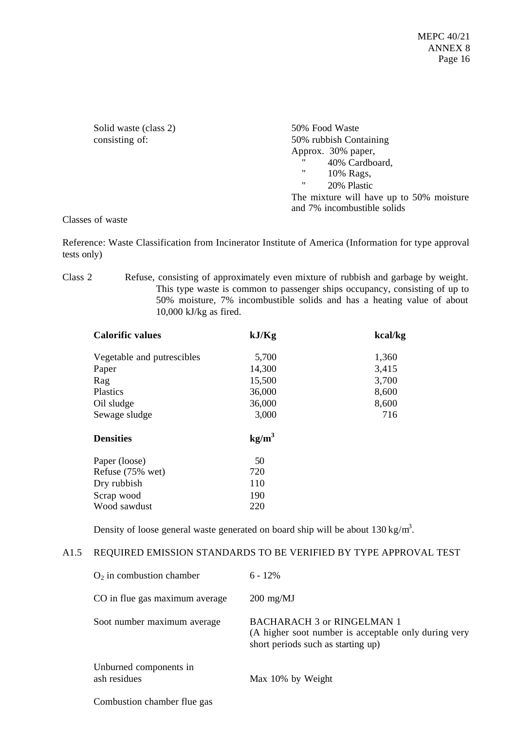Solid waste (class 2) 50% Food Waste

consisting of: 50% rubbish Containing Approx. 30% paper, "  $40\%$  Cardboard, 10% Rags, " 20% Plastic The mixture will have up to 50% moisture and 7% incombustible solids

Classes of waste

Reference: Waste Classification from Incinerator Institute of America (Information for type approval tests only)

Class 2 Refuse, consisting of approximately even mixture of rubbish and garbage by weight. This type waste is common to passenger ships occupancy, consisting of up to 50% moisture, 7% incombustible solids and has a heating value of about 10,000 kJ/kg as fired.

| <b>Calorific values</b>    | kJ/Kg             | kcal/kg |
|----------------------------|-------------------|---------|
| Vegetable and putrescibles | 5,700             | 1,360   |
| Paper                      | 14,300            | 3,415   |
| Rag                        | 15,500            | 3,700   |
| Plastics                   | 36,000            | 8,600   |
| Oil sludge                 | 36,000            | 8,600   |
| Sewage sludge              | 3,000             | 716     |
| <b>Densities</b>           | kg/m <sup>3</sup> |         |
| Paper (loose)              | 50                |         |
| Refuse (75% wet)           | 720               |         |
| Dry rubbish                | 110               |         |
| Scrap wood                 | 190               |         |
| Wood sawdust               | 220               |         |

Density of loose general waste generated on board ship will be about  $130 \text{ kg/m}^3$ .

### A1.5 REQUIRED EMISSION STANDARDS TO BE VERIFIED BY TYPE APPROVAL TEST

| $O2$ in combustion chamber             | $6 - 12\%$                                                                                                                      |
|----------------------------------------|---------------------------------------------------------------------------------------------------------------------------------|
| CO in flue gas maximum average         | $200 \text{ mg/MJ}$                                                                                                             |
| Soot number maximum average            | <b>BACHARACH 3 or RINGELMAN 1</b><br>(A higher soot number is acceptable only during very<br>short periods such as starting up) |
| Unburned components in<br>ash residues | Max 10% by Weight                                                                                                               |
| Combustion chamber flue gas            |                                                                                                                                 |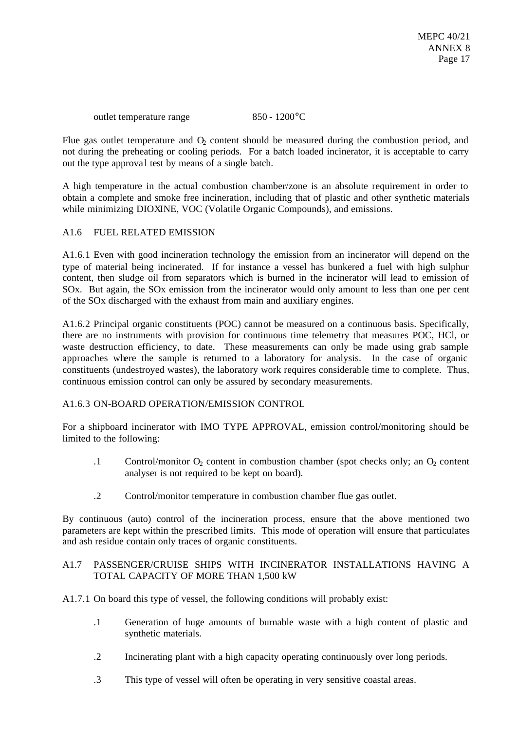outlet temperature range 850 - 1200 °C

Flue gas outlet temperature and  $O<sub>2</sub>$  content should be measured during the combustion period, and not during the preheating or cooling periods. For a batch loaded incinerator, it is acceptable to carry out the type approva l test by means of a single batch.

A high temperature in the actual combustion chamber/zone is an absolute requirement in order to obtain a complete and smoke free incineration, including that of plastic and other synthetic materials while minimizing DIOXINE, VOC (Volatile Organic Compounds), and emissions.

## A1.6 FUEL RELATED EMISSION

A1.6.1 Even with good incineration technology the emission from an incinerator will depend on the type of material being incinerated. If for instance a vessel has bunkered a fuel with high sulphur content, then sludge oil from separators which is burned in the incinerator will lead to emission of SOx. But again, the SOx emission from the incinerator would only amount to less than one per cent of the SOx discharged with the exhaust from main and auxiliary engines.

A1.6.2 Principal organic constituents (POC) cannot be measured on a continuous basis. Specifically, there are no instruments with provision for continuous time telemetry that measures POC, HCl, or waste destruction efficiency, to date. These measurements can only be made using grab sample approaches where the sample is returned to a laboratory for analysis. In the case of organic constituents (undestroyed wastes), the laboratory work requires considerable time to complete. Thus, continuous emission control can only be assured by secondary measurements.

### A1.6.3 ON-BOARD OPERATION/EMISSION CONTROL

For a shipboard incinerator with IMO TYPE APPROVAL, emission control/monitoring should be limited to the following:

- .1 Control/monitor  $O_2$  content in combustion chamber (spot checks only; an  $O_2$  content analyser is not required to be kept on board).
- .2 Control/monitor temperature in combustion chamber flue gas outlet.

By continuous (auto) control of the incineration process, ensure that the above mentioned two parameters are kept within the prescribed limits. This mode of operation will ensure that particulates and ash residue contain only traces of organic constituents.

## A1.7 PASSENGER/CRUISE SHIPS WITH INCINERATOR INSTALLATIONS HAVING A TOTAL CAPACITY OF MORE THAN 1,500 kW

A1.7.1 On board this type of vessel, the following conditions will probably exist:

- .1 Generation of huge amounts of burnable waste with a high content of plastic and synthetic materials.
- .2 Incinerating plant with a high capacity operating continuously over long periods.
- .3 This type of vessel will often be operating in very sensitive coastal areas.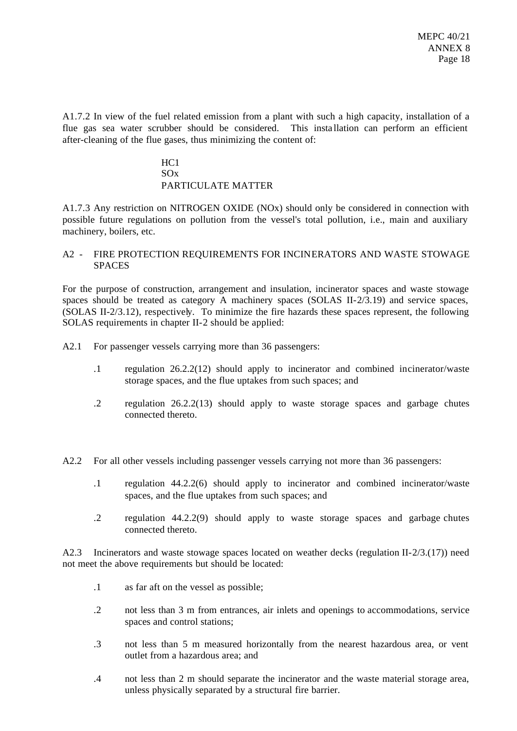A1.7.2 In view of the fuel related emission from a plant with such a high capacity, installation of a flue gas sea water scrubber should be considered. This insta llation can perform an efficient after-cleaning of the flue gases, thus minimizing the content of:

# HC1 SOx PARTICULATE MATTER

A1.7.3 Any restriction on NITROGEN OXIDE (NOx) should only be considered in connection with possible future regulations on pollution from the vessel's total pollution, i.e., main and auxiliary machinery, boilers, etc.

## A2 - FIRE PROTECTION REQUIREMENTS FOR INCINERATORS AND WASTE STOWAGE **SPACES**

For the purpose of construction, arrangement and insulation, incinerator spaces and waste stowage spaces should be treated as category A machinery spaces (SOLAS II-2/3.19) and service spaces, (SOLAS II-2/3.12), respectively. To minimize the fire hazards these spaces represent, the following SOLAS requirements in chapter II-2 should be applied:

A2.1 For passenger vessels carrying more than 36 passengers:

- .1 regulation 26.2.2(12) should apply to incinerator and combined incinerator/waste storage spaces, and the flue uptakes from such spaces; and
- .2 regulation 26.2.2(13) should apply to waste storage spaces and garbage chutes connected thereto.

A2.2 For all other vessels including passenger vessels carrying not more than 36 passengers:

- .1 regulation 44.2.2(6) should apply to incinerator and combined incinerator/waste spaces, and the flue uptakes from such spaces; and
- .2 regulation 44.2.2(9) should apply to waste storage spaces and garbage chutes connected thereto.

A2.3 Incinerators and waste stowage spaces located on weather decks (regulation II-2/3.(17)) need not meet the above requirements but should be located:

- .1 as far aft on the vessel as possible;
- .2 not less than 3 m from entrances, air inlets and openings to accommodations, service spaces and control stations;
- .3 not less than 5 m measured horizontally from the nearest hazardous area, or vent outlet from a hazardous area; and
- .4 not less than 2 m should separate the incinerator and the waste material storage area, unless physically separated by a structural fire barrier.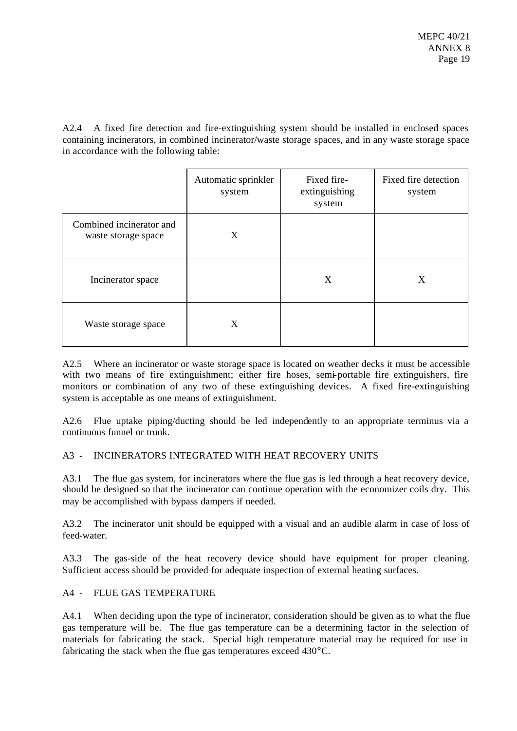A2.4 A fixed fire detection and fire-extinguishing system should be installed in enclosed spaces containing incinerators, in combined incinerator/waste storage spaces, and in any waste storage space in accordance with the following table:

|                                                 | Automatic sprinkler<br>system | Fixed fire-<br>extinguishing<br>system | Fixed fire detection<br>system |
|-------------------------------------------------|-------------------------------|----------------------------------------|--------------------------------|
| Combined incinerator and<br>waste storage space | X                             |                                        |                                |
| Incinerator space                               |                               | X                                      | X                              |
| Waste storage space                             | X                             |                                        |                                |

A2.5 Where an incinerator or waste storage space is located on weather decks it must be accessible with two means of fire extinguishment; either fire hoses, semi-portable fire extinguishers, fire monitors or combination of any two of these extinguishing devices. A fixed fire-extinguishing system is acceptable as one means of extinguishment.

A2.6 Flue uptake piping/ducting should be led independently to an appropriate terminus via a continuous funnel or trunk.

# A3 - INCINERATORS INTEGRATED WITH HEAT RECOVERY UNITS

A3.1 The flue gas system, for incinerators where the flue gas is led through a heat recovery device, should be designed so that the incinerator can continue operation with the economizer coils dry. This may be accomplished with bypass dampers if needed.

A3.2 The incinerator unit should be equipped with a visual and an audible alarm in case of loss of feed-water.

A3.3 The gas-side of the heat recovery device should have equipment for proper cleaning. Sufficient access should be provided for adequate inspection of external heating surfaces.

# A4 - FLUE GAS TEMPERATURE

A4.1 When deciding upon the type of incinerator, consideration should be given as to what the flue gas temperature will be. The flue gas temperature can be a determining factor in the selection of materials for fabricating the stack. Special high temperature material may be required for use in fabricating the stack when the flue gas temperatures exceed 430°C.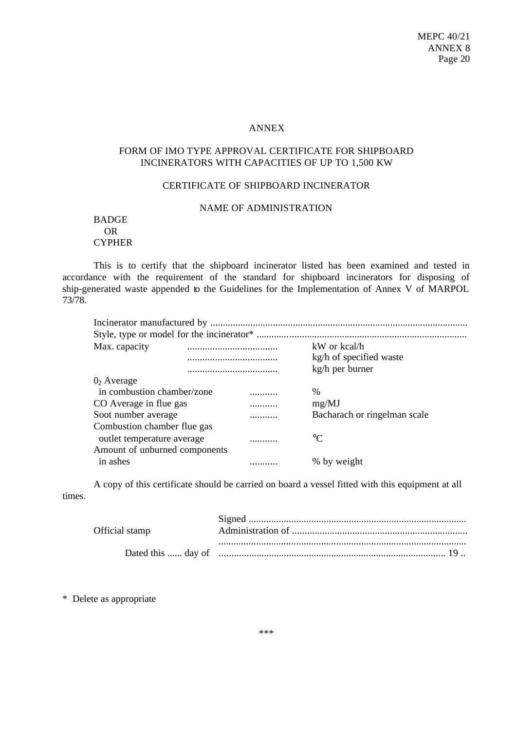#### ANNEX

# FORM OF IMO TYPE APPROVAL CERTIFICATE FOR SHIPBOARD INCINERATORS WITH CAPACITIES OF UP TO 1,500 KW

### CERTIFICATE OF SHIPBOARD INCINERATOR

### NAME OF ADMINISTRATION

### BADGE OR CYPHER

This is to certify that the shipboard incinerator listed has been examined and tested in accordance with the requirement of the standard for shipboard incinerators for disposing of ship-generated waste appended to the Guidelines for the Implementation of Annex V of MARPOL 73/78.

| Max. capacity                 |   | kW or kcal/h                 |
|-------------------------------|---|------------------------------|
|                               |   | kg/h of specified waste      |
|                               |   | kg/h per burner              |
| $02$ Average                  |   |                              |
| in combustion chamber/zone    |   | $\frac{0}{0}$                |
| CO Average in flue gas        | . | mg/MJ                        |
| Soot number average           |   | Bacharach or ringelman scale |
| Combustion chamber flue gas   |   |                              |
| outlet temperature average    |   | $^{\circ}C$                  |
| Amount of unburned components |   |                              |
| in ashes                      |   | % by weight                  |

A copy of this certificate should be carried on board a vessel fitted with this equipment at all times.

| Official stamp |  |
|----------------|--|
|                |  |
|                |  |
|                |  |

\* Delete as appropriate